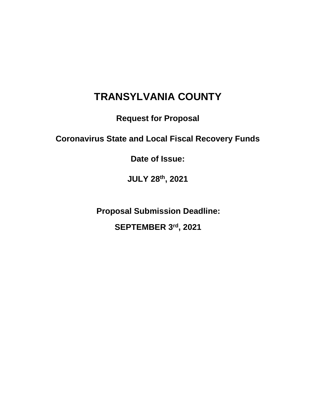# **TRANSYLVANIA COUNTY**

**Request for Proposal**

# **Coronavirus State and Local Fiscal Recovery Funds**

**Date of Issue:**

**JULY 28th, 2021**

**Proposal Submission Deadline: SEPTEMBER 3rd, 2021**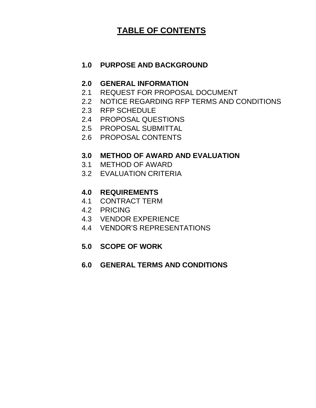# **TABLE OF CONTENTS**

# **1.0 PURPOSE AND BACKGROUND**

## **2.0 GENERAL INFORMATION**

- 2.1 REQUEST FOR PROPOSAL DOCUMENT
- 2.2 NOTICE REGARDING RFP TERMS AND CONDITIONS
- 2.3 RFP SCHEDULE
- 2.4 PROPOSAL QUESTIONS
- 2.5 PROPOSAL SUBMITTAL
- 2.6 PROPOSAL CONTENTS

# **3.0 METHOD OF AWARD AND EVALUATION**

- 3.1 METHOD OF AWARD
- 3.2 EVALUATION CRITERIA

# **4.0 REQUIREMENTS**

- 4.1 CONTRACT TERM
- 4.2 PRICING
- 4.3 VENDOR EXPERIENCE
- 4.4 VENDOR'S REPRESENTATIONS

# **5.0 SCOPE OF WORK**

## **6.0 GENERAL TERMS AND CONDITIONS**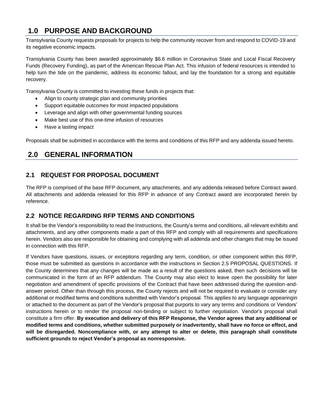# **1.0 PURPOSE AND BACKGROUND**

Transylvania County requests proposals for projects to help the community recover from and respond to COVID-19 and its negative economic impacts.

Transylvania County has been awarded approximately \$6.6 million in Coronavirus State and Local Fiscal Recovery Funds (Recovery Funding), as part of the American Rescue Plan Act. This infusion of federal resources is intended to help turn the tide on the pandemic, address its economic fallout, and lay the foundation for a strong and equitable recovery.

Transylvania County is committed to investing these funds in projects that:

- Align to county strategic plan and community priorities
- Support equitable outcomes for most impacted populations
- Leverage and align with other governmental funding sources
- Make best use of this one-time infusion of resources
- Have a lasting impact

Proposals shall be submitted in accordance with the terms and conditions of this RFP and any addenda issued hereto.

# **2.0 GENERAL INFORMATION**

### **2.1 REQUEST FOR PROPOSAL DOCUMENT**

The RFP is comprised of the base RFP document, any attachments, and any addenda released before Contract award. All attachments and addenda released for this RFP in advance of any Contract award are incorporated herein by reference.

### **2.2 NOTICE REGARDING RFP TERMS AND CONDITIONS**

It shall be the Vendor's responsibility to read the Instructions, the County's terms and conditions, all relevant exhibits and attachments, and any other components made a part of this RFP and comply with all requirements and specifications herein. Vendors also are responsible for obtaining and complying with all addenda and other changes that may be issued in connection with this RFP.

If Vendors have questions, issues, or exceptions regarding any term, condition, or other component within this RFP, those must be submitted as questions in accordance with the instructions in Section 2.5 PROPOSAL QUESTIONS. If the County determines that any changes will be made as a result of the questions asked, then such decisions will be communicated in the form of an RFP addendum. The County may also elect to leave open the possibility for later negotiation and amendment of specific provisions of the Contract that have been addressed during the question-andanswer period. Other than through this process, the County rejects and will not be required to evaluate or consider any additional or modified terms and conditions submitted with Vendor's proposal. This applies to any language appearingin or attached to the document as part of the Vendor's proposal that purports to vary any terms and conditions or Vendors' instructions herein or to render the proposal non-binding or subject to further negotiation. Vendor's proposal shall constitute a firm offer. **By execution and delivery of this RFP Response, the Vendor agrees that any additional or modified terms and conditions, whether submitted purposely or inadvertently, shall have no force or effect, and will be disregarded. Noncompliance with, or any attempt to alter or delete, this paragraph shall constitute sufficient grounds to reject Vendor's proposal as nonresponsive.**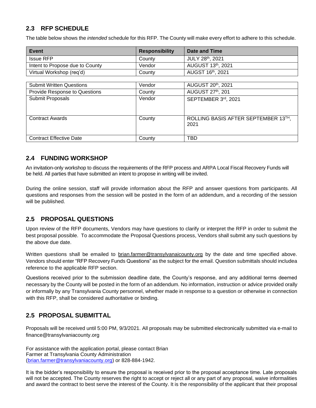## **2.3 RFP SCHEDULE**

The table below shows the *intended* schedule for this RFP. The County will make every effort to adhere to this schedule.

| Event                                | <b>Responsibility</b> | Date and Time                       |
|--------------------------------------|-----------------------|-------------------------------------|
| <b>Issue RFP</b>                     | County                | JULY 28th, 2021                     |
| Intent to Propose due to County      | Vendor                | AUGUST 13th, 2021                   |
| Virtual Workshop (req'd)             | County                | AUGST 16th, 2021                    |
|                                      |                       |                                     |
| <b>Submit Written Questions</b>      | Vendor                | AUGUST 20th, 2021                   |
| <b>Provide Response to Questions</b> | County                | AUGUST 27th, 201                    |
| Submit Proposals                     | Vendor                | SEPTEMBER 3rd, 2021                 |
|                                      |                       |                                     |
|                                      |                       |                                     |
| <b>Contract Awards</b>               | County                | ROLLING BASIS AFTER SEPTEMBER 13TH, |
|                                      |                       | 2021                                |
|                                      |                       |                                     |
| <b>Contract Effective Date</b>       | County                | TBD                                 |

### **2.4 FUNDING WORKSHOP**

An invitation-only workshop to discuss the requirements of the RFP process and ARPA Local Fiscal Recovery Funds will be held. All parties that have submitted an intent to propose in writing will be invited.

During the online session, staff will provide information about the RFP and answer questions from participants. All questions and responses from the session will be posted in the form of an addendum, and a recording of the session will be published.

### **2.5 PROPOSAL QUESTIONS**

Upon review of the RFP documents, Vendors may have questions to clarify or interpret the RFP in order to submit the best proposal possible. To accommodate the Proposal Questions process, Vendors shall submit any such questions by the above due date.

Written questions shall be emailed to brian.farmer@transylvanaicounty.org by the date and time specified above. Vendors should enter "RFP Recovery Funds Questions" as the subject for the email. Question submittals should includea reference to the applicable RFP section.

Questions received prior to the submission deadline date, the County's response, and any additional terms deemed necessary by the County will be posted in the form of an addendum. No information, instruction or advice provided orally or informally by any Transylvania County personnel, whether made in response to a question or otherwise in connection with this RFP, shall be considered authoritative or binding.

### **2.5 PROPOSAL SUBMITTAL**

Proposals will be received until 5:00 PM, 9/3/2021. All proposals may be submitted electronically submitted via e-mail to finance@transylvaniacounty.org

For assistance with the application portal, please contact Brian Farmer at Transylvania County Administration [\(brian.farmer@transylvaniacounty.org\)](mailto:brian.farmer@transylvaniacounty.org) or 828-884-1942.

It is the bidder's responsibility to ensure the proposal is received prior to the proposal acceptance time. Late proposals will not be accepted. The County reserves the right to accept or reject all or any part of any proposal, waive informalities and award the contract to best serve the interest of the County. It is the responsibility of the applicant that their proposal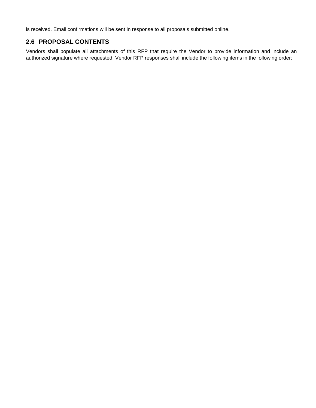is received. Email confirmations will be sent in response to all proposals submitted online.

### **2.6 PROPOSAL CONTENTS**

Vendors shall populate all attachments of this RFP that require the Vendor to provide information and include an authorized signature where requested. Vendor RFP responses shall include the following items in the following order: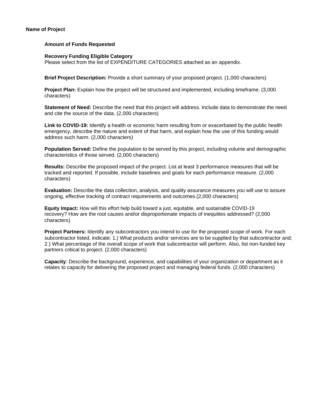#### **Name of Project**

#### **Amount of Funds Requested**

#### **Recovery Funding Eligible Category**

Please select from the list of EXPENDITURE CATEGORIES attached as an appendix.

**Brief Project Description:** Provide a short summary of your proposed project. (1,000 characters)

**Project Plan:** Explain how the project will be structured and implemented, including timeframe. (3,000 characters)

**Statement of Need:** Describe the need that this project will address. Include data to demonstrate the need and cite the source of the data. (2,000 characters)

**Link to COVID-19:** Identify a health or economic harm resulting from or exacerbated by the public health emergency, describe the nature and extent of that harm, and explain how the use of this funding would address such harm. (2,000 characters)

**Population Served:** Define the population to be served by this project, including volume and demographic characteristics of those served. (2,000 characters)

**Results:** Describe the proposed impact of the project. List at least 3 performance measures that will be tracked and reported. If possible, include baselines and goals for each performance measure. (2,000 characters)

**Evaluation:** Describe the data collection, analysis, and quality assurance measures you will use to assure ongoing, effective tracking of contract requirements and outcomes.(2,000 characters)

**Equity Impact:** How will this effort help build toward a just, equitable, and sustainable COVID-19 recovery? How are the root causes and/or disproportionate impacts of inequities addressed? (2,000 characters)

**Project Partners:** Identify any subcontractors you intend to use for the proposed scope of work. For each subcontractor listed, indicate: 1.) What products and/or services are to be supplied by that subcontractor and; 2.) What percentage of the overall scope of work that subcontractor will perform. Also, list non-funded key partners critical to project. (2,000 characters)

**Capacity**: Describe the background, experience, and capabilities of your organization or department as it relates to capacity for delivering the proposed project and managing federal funds. (2,000 characters)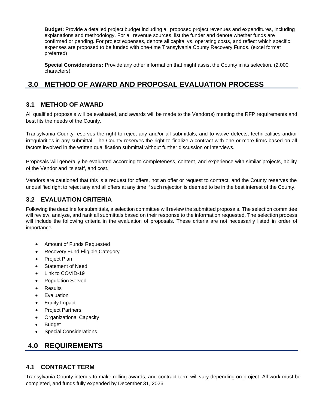**Budget:** Provide a detailed project budget including all proposed project revenues and expenditures, including explanations and methodology. For all revenue sources, list the funder and denote whether funds are confirmed or pending. For project expenses, denote all capital vs. operating costs, and reflect which specific expenses are proposed to be funded with one-time Transylvania County Recovery Funds. (excel format preferred)

**Special Considerations:** Provide any other information that might assist the County in its selection. (2,000 characters)

# **3.0 METHOD OF AWARD AND PROPOSAL EVALUATION PROCESS**

### **3.1 METHOD OF AWARD**

All qualified proposals will be evaluated, and awards will be made to the Vendor(s) meeting the RFP requirements and best fits the needs of the County.

Transylvania County reserves the right to reject any and/or all submittals, and to waive defects, technicalities and/or irregularities in any submittal. The County reserves the right to finalize a contract with one or more firms based on all factors involved in the written qualification submittal without further discussion or interviews.

Proposals will generally be evaluated according to completeness, content, and experience with similar projects, ability of the Vendor and its staff, and cost.

Vendors are cautioned that this is a request for offers, not an offer or request to contract, and the County reserves the unqualified right to reject any and all offers at any time if such rejection is deemed to be in the best interest of the County.

### **3.2 EVALUATION CRITERIA**

Following the deadline for submittals, a selection committee will review the submitted proposals. The selection committee will review, analyze, and rank all submittals based on their response to the information requested. The selection process will include the following criteria in the evaluation of proposals. These criteria are not necessarily listed in order of importance.

- Amount of Funds Requested
- Recovery Fund Eligible Category
- Project Plan
- Statement of Need
- Link to COVID-19
- Population Served
- **Results**
- **Evaluation**
- Equity Impact
- Project Partners
- Organizational Capacity
- Budget
- **Special Considerations**

# **4.0 REQUIREMENTS**

### **4.1 CONTRACT TERM**

Transylvania County intends to make rolling awards, and contract term will vary depending on project. All work must be completed, and funds fully expended by December 31, 2026.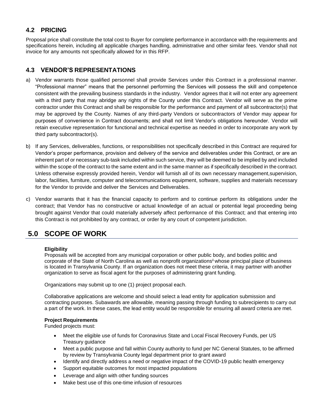### **4.2 PRICING**

Proposal price shall constitute the total cost to Buyer for complete performance in accordance with the requirements and specifications herein, including all applicable charges handling, administrative and other similar fees. Vendor shall not invoice for any amounts not specifically allowed for in this RFP.

### **4.3 VENDOR'S REPRESENTATIONS**

- a) Vendor warrants those qualified personnel shall provide Services under this Contract in a professional manner. "Professional manner" means that the personnel performing the Services will possess the skill and competence consistent with the prevailing business standards in the industry. Vendor agrees that it will not enter any agreement with a third party that may abridge any rights of the County under this Contract. Vendor will serve as the prime contractor under this Contract and shall be responsible for the performance and payment of all subcontractor(s) that may be approved by the County. Names of any third-party Vendors or subcontractors of Vendor may appear for purposes of convenience in Contract documents; and shall not limit Vendor's obligations hereunder. Vendor will retain executive representation for functional and technical expertise as needed in order to incorporate any work by third party subcontractor(s).
- b) If any Services, deliverables, functions, or responsibilities not specifically described in this Contract are required for Vendor's proper performance, provision and delivery of the service and deliverables under this Contract, or are an inherent part of or necessary sub-task included within such service, they will be deemed to be implied by and included within the scope of the contract to the same extent and in the same manner as if specifically described in the contract. Unless otherwise expressly provided herein, Vendor will furnish all of its own necessary management,supervision, labor, facilities, furniture, computer and telecommunications equipment, software, supplies and materials necessary for the Vendor to provide and deliver the Services and Deliverables.
- c) Vendor warrants that it has the financial capacity to perform and to continue perform its obligations under the contract; that Vendor has no constructive or actual knowledge of an actual or potential legal proceeding being brought against Vendor that could materially adversely affect performance of this Contract; and that entering into this Contract is not prohibited by any contract, or order by any court of competent jurisdiction.

# **5.0 SCOPE OF WORK**

#### **Eligibility**

Proposals will be accepted from any municipal corporation or other public body, and bodies politic and corporate of the State of North Carolina a[s](#page-15-0) well as nonprofit organizations<sup>ii</sup> whose principal place of business is located in Transylvania County. If an organization does not meet these criteria, it may partner with another organization to serve as fiscal agent for the purposes of administering grant funding.

Organizations may submit up to one (1) project proposal each.

Collaborative applications are welcome and should select a lead entity for application submission and contracting purposes. Subawards are allowable, meaning passing through funding to subrecipients to carry out a part of the work. In these cases, the lead entity would be responsible for ensuring all award criteria are met.

#### **Project Requirements**

Funded projects must:

- Meet the eligible use of funds for Coronavirus State and Local Fiscal Recovery Funds, per US Treasury guidance
- Meet a public purpose and fall within County authority to fund per NC General Statutes, to be affirmed by review by Transylvania County legal department prior to grant award
- Identify and directly address a need or negative impact of the COVID-19 public health emergency
- Support equitable outcomes for most impacted populations
- Leverage and align with other funding sources
- Make best use of this one-time infusion of resources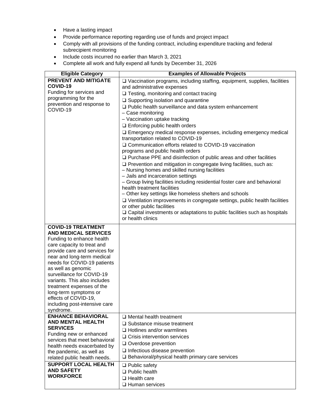- Have a lasting impact
- Provide performance reporting regarding use of funds and project impact
- Comply with all provisions of the funding contract, including expenditure tracking and federal subrecipient monitoring
- Include costs incurred no earlier than March 3, 2021
- Complete all work and fully expend all funds by December 31, 2026

| <b>Eligible Category</b>                              | <b>Examples of Allowable Projects</b>                                            |
|-------------------------------------------------------|----------------------------------------------------------------------------------|
| <b>PREVENT AND MITIGATE</b>                           | □ Vaccination programs, including staffing, equipment, supplies, facilities      |
| COVID-19                                              | and administrative expenses                                                      |
| Funding for services and                              | $\Box$ Testing, monitoring and contact tracing                                   |
| programming for the                                   | $\square$ Supporting isolation and quarantine                                    |
| prevention and response to                            | □ Public health surveillance and data system enhancement                         |
| COVID-19                                              | - Case monitoring                                                                |
|                                                       | - Vaccination uptake tracking                                                    |
|                                                       | $\square$ Enforcing public health orders                                         |
|                                                       | □ Emergency medical response expenses, including emergency medical               |
|                                                       | transportation related to COVID-19                                               |
|                                                       | □ Communication efforts related to COVID-19 vaccination                          |
|                                                       | programs and public health orders                                                |
|                                                       | $\Box$ Purchase PPE and disinfection of public areas and other facilities        |
|                                                       | □ Prevention and mitigation in congregate living facilities, such as:            |
|                                                       | - Nursing homes and skilled nursing facilities                                   |
|                                                       | - Jails and incarceration settings                                               |
|                                                       | - Group living facilities including residential foster care and behavioral       |
|                                                       | health treatment facilities                                                      |
|                                                       | - Other key settings like homeless shelters and schools                          |
|                                                       | □ Ventilation improvements in congregate settings, public health facilities      |
|                                                       | or other public facilities                                                       |
|                                                       | $\Box$ Capital investments or adaptations to public facilities such as hospitals |
|                                                       | or health clinics                                                                |
| <b>COVID-19 TREATMENT</b>                             |                                                                                  |
| <b>AND MEDICAL SERVICES</b>                           |                                                                                  |
| Funding to enhance health                             |                                                                                  |
| care capacity to treat and                            |                                                                                  |
| provide care and services for                         |                                                                                  |
| near and long-term medical                            |                                                                                  |
| needs for COVID-19 patients                           |                                                                                  |
| as well as genomic                                    |                                                                                  |
| surveillance for COVID-19                             |                                                                                  |
| variants. This also includes                          |                                                                                  |
| treatment expenses of the                             |                                                                                  |
| long-term symptoms or                                 |                                                                                  |
| effects of COVID-19,<br>including post-intensive care |                                                                                  |
| syndrome.                                             |                                                                                  |
| <b>ENHANCE BEHAVIORAL</b>                             | $\Box$ Mental health treatment                                                   |
| <b>AND MENTAL HEALTH</b>                              | $\Box$ Substance misuse treatment                                                |
| <b>SERVICES</b>                                       |                                                                                  |
| Funding new or enhanced                               | $\Box$ Hotlines and/or warmlines                                                 |
| services that meet behavioral                         | $\Box$ Crisis intervention services                                              |
| health needs exacerbated by                           | $\Box$ Overdose prevention                                                       |
| the pandemic, as well as                              | $\Box$ Infectious disease prevention                                             |
| related public health needs.                          | $\square$ Behavioral/physical health primary care services                       |
| <b>SUPPORT LOCAL HEALTH</b>                           | $\Box$ Public safety                                                             |
| <b>AND SAFETY</b>                                     | $\Box$ Public health                                                             |
| <b>WORKFORCE</b>                                      | $\Box$ Health care                                                               |
|                                                       | $\Box$ Human services                                                            |
|                                                       |                                                                                  |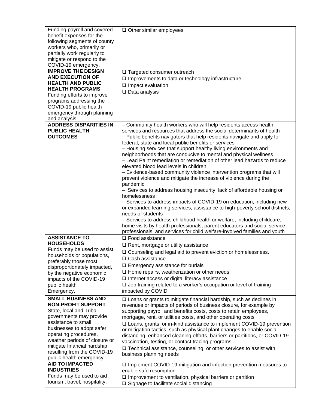| Funding payroll and covered                                  | $\Box$ Other similar employees                                                                                                                      |
|--------------------------------------------------------------|-----------------------------------------------------------------------------------------------------------------------------------------------------|
| benefit expenses for the                                     |                                                                                                                                                     |
| following segments of county                                 |                                                                                                                                                     |
| workers who, primarily or<br>partially work regularly to     |                                                                                                                                                     |
| mitigate or respond to the                                   |                                                                                                                                                     |
| COVID-19 emergency.                                          |                                                                                                                                                     |
| <b>IMPROVE THE DESIGN</b>                                    | □ Targeted consumer outreach                                                                                                                        |
| <b>AND EXECUTION OF</b>                                      | $\square$ Improvements to data or technology infrastructure                                                                                         |
| <b>HEALTH AND PUBLIC</b>                                     | $\Box$ Impact evaluation                                                                                                                            |
| <b>HEALTH PROGRAMS</b>                                       | $\Box$ Data analysis                                                                                                                                |
| Funding efforts to improve<br>programs addressing the        |                                                                                                                                                     |
| COVID-19 public health                                       |                                                                                                                                                     |
| emergency through planning                                   |                                                                                                                                                     |
| and analysis.                                                |                                                                                                                                                     |
| <b>ADDRESS DISPARITIES IN</b>                                | - Community health workers who will help residents access health                                                                                    |
| <b>PUBLIC HEALTH</b>                                         | services and resources that address the social determinants of health                                                                               |
| <b>OUTCOMES</b>                                              | - Public benefits navigators that help residents navigate and apply for                                                                             |
|                                                              | federal, state and local public benefits or services                                                                                                |
|                                                              | - Housing services that support healthy living environments and<br>neighborhoods that are conducive to mental and physical wellness                 |
|                                                              | - Lead Paint remediation or remediation of other lead hazards to reduce                                                                             |
|                                                              | elevated blood lead levels in children                                                                                                              |
|                                                              | - Evidence-based community violence intervention programs that will                                                                                 |
|                                                              | prevent violence and mitigate the increase of violence during the                                                                                   |
|                                                              | pandemic                                                                                                                                            |
|                                                              | - Services to address housing insecurity, lack of affordable housing or<br>homelessness                                                             |
|                                                              | - Services to address impacts of COVID-19 on education, including new                                                                               |
|                                                              | or expanded learning services, assistance to high-poverty school districts,                                                                         |
|                                                              | needs of students                                                                                                                                   |
|                                                              | - Services to address childhood health or welfare, including childcare,                                                                             |
|                                                              | home visits by health professionals, parent educators and social service                                                                            |
|                                                              | professionals, and services for child welfare-involved families and youth                                                                           |
| <b>ASSISTANCE TO</b><br><b>HOUSEHOLDS</b>                    | $\Box$ Food assistance                                                                                                                              |
| Funds may be used to assist                                  | $\Box$ Rent, mortgage or utility assistance                                                                                                         |
| households or populations,                                   | □ Counseling and legal aid to prevent eviction or homelessness.                                                                                     |
| preferably those most                                        | □ Cash assistance                                                                                                                                   |
| disproportionately impacted,                                 | $\Box$ Emergency assistance for burials                                                                                                             |
| by the negative economic                                     | $\Box$ Home repairs, weatherization or other needs                                                                                                  |
| impacts of the COVID-19                                      | $\square$ Internet access or digital literacy assistance                                                                                            |
| public health<br>Emergency.                                  | $\square$ Job training related to a worker's occupation or level of training<br>impacted by COVID                                                   |
| <b>SMALL BUSINESS AND</b>                                    |                                                                                                                                                     |
| <b>NON-PROFIT SUPPORT</b>                                    | $\square$ Loans or grants to mitigate financial hardship, such as declines in<br>revenues or impacts of periods of business closure, for example by |
| State, local and Tribal                                      | supporting payroll and benefits costs, costs to retain employees,                                                                                   |
| governments may provide                                      | mortgage, rent, or utilities costs, and other operating costs                                                                                       |
| assistance to small                                          | □ Loans, grants, or in-kind assistance to implement COVID-19 prevention                                                                             |
| businesses to adopt safer                                    | or mitigation tactics, such as physical plant changes to enable social                                                                              |
| operating procedures,                                        | distancing, enhanced cleaning efforts, barriers or partitions, or COVID-19                                                                          |
| weather periods of closure or<br>mitigate financial hardship | vaccination, testing, or contact tracing programs                                                                                                   |
| resulting from the COVID-19                                  | □ Technical assistance, counseling, or other services to assist with                                                                                |
| public health emergency.                                     | business planning needs                                                                                                                             |
| <b>AID TO IMPACTED</b>                                       | $\square$ Implement COVID-19 mitigation and infection prevention measures to                                                                        |
| <b>INDUSTRIES</b>                                            | enable safe resumption                                                                                                                              |
| Funds may be used to aid                                     | $\square$ Improvement to ventilation, physical barriers or partition                                                                                |
| tourism, travel, hospitality,                                | $\square$ Signage to facilitate social distancing                                                                                                   |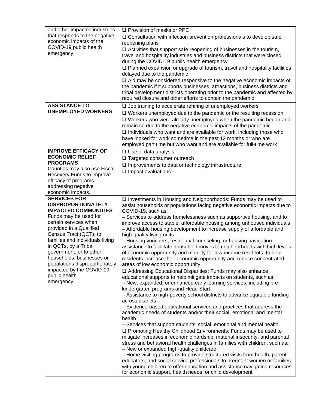| and other impacted industries<br>that responds to the negative<br>economic impacts of the<br>COVID-19 public health<br>emergency. | $\Box$ Provision of masks or PPE<br>$\square$ Consultation with infection prevention professionals to develop safe<br>reopening plans<br>$\Box$ Activities that support safe reopening of businesses in the tourism,<br>travel and hospitality industries and business districts that were closed<br>during the COVID-19 public health emergency<br>$\square$ Planned expansion or upgrade of tourism, travel and hospitality facilities<br>delayed due to the pandemic<br>$\Box$ Aid may be considered responsive to the negative economic impacts of<br>the pandemic if it supports businesses, attractions, business districts and<br>tribal development districts operating prior to the pandemic and affected by<br>required closure and other efforts to contain the pandemic |
|-----------------------------------------------------------------------------------------------------------------------------------|-------------------------------------------------------------------------------------------------------------------------------------------------------------------------------------------------------------------------------------------------------------------------------------------------------------------------------------------------------------------------------------------------------------------------------------------------------------------------------------------------------------------------------------------------------------------------------------------------------------------------------------------------------------------------------------------------------------------------------------------------------------------------------------|
| <b>ASSISTANCE TO</b><br><b>UNEMPLOYED WORKERS</b>                                                                                 | $\Box$ Job training to accelerate rehiring of unemployed workers<br>$\Box$ Workers unemployed due to the pandemic or the resulting recession<br>$\Box$ Workers who were already unemployed when the pandemic began and                                                                                                                                                                                                                                                                                                                                                                                                                                                                                                                                                              |
|                                                                                                                                   | remain so due to the negative economic impacts of the pandemic<br>$\Box$ Individuals who want and are available for work, including those who<br>have looked for work sometime in the past 12 months or who are<br>employed part time but who want and are available for full-time work                                                                                                                                                                                                                                                                                                                                                                                                                                                                                             |
| <b>IMPROVE EFFICACY OF</b><br><b>ECONOMIC RELIEF</b>                                                                              | $\Box$ Use of data analysis                                                                                                                                                                                                                                                                                                                                                                                                                                                                                                                                                                                                                                                                                                                                                         |
| <b>PROGRAMS</b>                                                                                                                   | □ Targeted consumer outreach<br>$\Box$ Improvements to data or technology infrastructure                                                                                                                                                                                                                                                                                                                                                                                                                                                                                                                                                                                                                                                                                            |
| Counties may also use Fiscal<br>Recovery Funds to improve                                                                         | $\Box$ Impact evaluations                                                                                                                                                                                                                                                                                                                                                                                                                                                                                                                                                                                                                                                                                                                                                           |
| efficacy of programs                                                                                                              |                                                                                                                                                                                                                                                                                                                                                                                                                                                                                                                                                                                                                                                                                                                                                                                     |
| addressing negative<br>economic impacts.                                                                                          |                                                                                                                                                                                                                                                                                                                                                                                                                                                                                                                                                                                                                                                                                                                                                                                     |
| <b>SERVICES FOR</b>                                                                                                               | □ Investments in Housing and Neighborhoods: Funds may be used to                                                                                                                                                                                                                                                                                                                                                                                                                                                                                                                                                                                                                                                                                                                    |
| <b>DISPROPORTIONATELY</b><br><b>IMPACTED COMMUNITIES</b>                                                                          | assist households or populations facing negative economic impacts due to                                                                                                                                                                                                                                                                                                                                                                                                                                                                                                                                                                                                                                                                                                            |
| Funds may be used for                                                                                                             | COVID-19, such as:<br>- Services to address homelessness such as supportive housing, and to                                                                                                                                                                                                                                                                                                                                                                                                                                                                                                                                                                                                                                                                                         |
| certain services when                                                                                                             | improve access to stable, affordable housing among unhoused individuals                                                                                                                                                                                                                                                                                                                                                                                                                                                                                                                                                                                                                                                                                                             |
| provided in a Qualified<br>Census Tract (QCT), to                                                                                 | - Affordable housing development to increase supply of affordable and<br>high-quality living units                                                                                                                                                                                                                                                                                                                                                                                                                                                                                                                                                                                                                                                                                  |
| families and individuals living                                                                                                   | - Housing vouchers, residential counseling, or housing navigation                                                                                                                                                                                                                                                                                                                                                                                                                                                                                                                                                                                                                                                                                                                   |
| in QCTs, by a Tribal<br>government, or to other                                                                                   | assistance to facilitate household moves to neighborhoods with high levels                                                                                                                                                                                                                                                                                                                                                                                                                                                                                                                                                                                                                                                                                                          |
| households, businesses or                                                                                                         | of economic opportunity and mobility for low-income residents, to help<br>residents increase their economic opportunity and reduce concentrated                                                                                                                                                                                                                                                                                                                                                                                                                                                                                                                                                                                                                                     |
| populations disproportionately                                                                                                    | areas of low economic opportunity                                                                                                                                                                                                                                                                                                                                                                                                                                                                                                                                                                                                                                                                                                                                                   |
| impacted by the COVID-19<br>public health                                                                                         | □ Addressing Educational Disparities: Funds may also enhance<br>educational supports to help mitigate impacts on students, such as:                                                                                                                                                                                                                                                                                                                                                                                                                                                                                                                                                                                                                                                 |
| emergency.                                                                                                                        | - New, expanded, or enhanced early learning services, including pre-                                                                                                                                                                                                                                                                                                                                                                                                                                                                                                                                                                                                                                                                                                                |
|                                                                                                                                   | kindergarten programs and Head Start                                                                                                                                                                                                                                                                                                                                                                                                                                                                                                                                                                                                                                                                                                                                                |
|                                                                                                                                   | - Assistance to high-poverty school districts to advance equitable funding<br>across districts                                                                                                                                                                                                                                                                                                                                                                                                                                                                                                                                                                                                                                                                                      |
|                                                                                                                                   | - Evidence-based educational services and practices that address the<br>academic needs of students and/or their social, emotional and mental                                                                                                                                                                                                                                                                                                                                                                                                                                                                                                                                                                                                                                        |
|                                                                                                                                   | health<br>- Services that support students' social, emotional and mental health                                                                                                                                                                                                                                                                                                                                                                                                                                                                                                                                                                                                                                                                                                     |
|                                                                                                                                   | □ Promoting Healthy Childhood Environments: Funds may be used to                                                                                                                                                                                                                                                                                                                                                                                                                                                                                                                                                                                                                                                                                                                    |
|                                                                                                                                   | mitigate increases in economic hardship, material insecurity, and parental                                                                                                                                                                                                                                                                                                                                                                                                                                                                                                                                                                                                                                                                                                          |
|                                                                                                                                   | stress and behavioral health challenges in families with children, such as:<br>- New or expanded high-quality childcare                                                                                                                                                                                                                                                                                                                                                                                                                                                                                                                                                                                                                                                             |
|                                                                                                                                   | - Home visiting programs to provide structured visits from health, parent                                                                                                                                                                                                                                                                                                                                                                                                                                                                                                                                                                                                                                                                                                           |
|                                                                                                                                   | educators, and social service professionals to pregnant women or families<br>with young children to offer education and assistance navigating resources<br>for economic support, health needs, or child development                                                                                                                                                                                                                                                                                                                                                                                                                                                                                                                                                                 |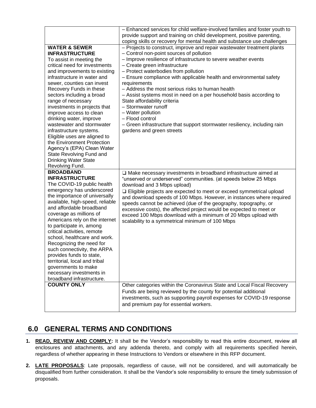|                                                                                                                                                                                                                                                                                                                                                                                                                                                                                                                                                                                                | - Enhanced services for child welfare-involved families and foster youth to<br>provide support and training on child development, positive parenting,                                                                                                                                                                                                                                                                                                                                                                                                                                                                                                                                      |
|------------------------------------------------------------------------------------------------------------------------------------------------------------------------------------------------------------------------------------------------------------------------------------------------------------------------------------------------------------------------------------------------------------------------------------------------------------------------------------------------------------------------------------------------------------------------------------------------|--------------------------------------------------------------------------------------------------------------------------------------------------------------------------------------------------------------------------------------------------------------------------------------------------------------------------------------------------------------------------------------------------------------------------------------------------------------------------------------------------------------------------------------------------------------------------------------------------------------------------------------------------------------------------------------------|
|                                                                                                                                                                                                                                                                                                                                                                                                                                                                                                                                                                                                | coping skills or recovery for mental health and substance use challenges                                                                                                                                                                                                                                                                                                                                                                                                                                                                                                                                                                                                                   |
| <b>WATER &amp; SEWER</b><br><b>INFRASTRUCTURE</b><br>To assist in meeting the<br>critical need for investments<br>and improvements to existing<br>infrastructure in water and<br>sewer, counties can invest<br>Recovery Funds in these<br>sectors including a broad<br>range of necessary<br>investments in projects that<br>improve access to clean<br>drinking water, improve<br>wastewater and stormwater<br>infrastructure systems.<br>Eligible uses are aligned to<br>the Environment Protection<br>Agency's (EPA) Clean Water<br>State Revolving Fund and<br><b>Drinking Water State</b> | - Projects to construct, improve and repair wastewater treatment plants<br>- Control non-point sources of pollution<br>- Improve resilience of infrastructure to severe weather events<br>- Create green infrastructure<br>- Protect waterbodies from pollution<br>- Ensure compliance with applicable health and environmental safety<br>requirements<br>- Address the most serious risks to human health<br>- Assist systems most in need on a per household basis according to<br>State affordability criteria<br>- Stormwater runoff<br>- Water pollution<br>- Flood control<br>- Green infrastructure that support stormwater resiliency, including rain<br>gardens and green streets |
|                                                                                                                                                                                                                                                                                                                                                                                                                                                                                                                                                                                                |                                                                                                                                                                                                                                                                                                                                                                                                                                                                                                                                                                                                                                                                                            |
| Revolving Fund.<br><b>BROADBAND</b><br><b>INFRASTRUCTURE</b><br>The COVID-19 public health<br>emergency has underscored<br>the importance of universally<br>available, high-speed, reliable<br>and affordable broadband<br>coverage as millions of<br>Americans rely on the internet<br>to participate in, among<br>critical activities, remote<br>school, healthcare and work.<br>Recognizing the need for<br>such connectivity, the ARPA<br>provides funds to state,<br>territorial, local and tribal<br>governments to make<br>necessary investments in<br>broadband infrastructure.        | $\Box$ Make necessary investments in broadband infrastructure aimed at<br>"unserved or underserved" communities. (at speeds below 25 Mbps<br>download and 3 Mbps upload)<br>□ Eligible projects are expected to meet or exceed symmetrical upload<br>and download speeds of 100 Mbps. However, in instances where required<br>speeds cannot be achieved (due of the geography, topography, or<br>excessive costs), the affected project would be expected to meet or<br>exceed 100 Mbps download with a minimum of 20 Mbps upload with<br>scalability to a symmetrical minimum of 100 Mbps                                                                                                 |

# **6.0 GENERAL TERMS AND CONDITIONS**

- **1. READ, REVIEW AND COMPLY:** It shall be the Vendor's responsibility to read this entire document, review all enclosures and attachments, and any addenda thereto, and comply with all requirements specified herein, regardless of whether appearing in these Instructions to Vendors or elsewhere in this RFP document.
- **2. LATE PROPOSALS**: Late proposals, regardless of cause, will not be considered, and will automatically be disqualified from further consideration. It shall be the Vendor's sole responsibility to ensure the timely submission of proposals.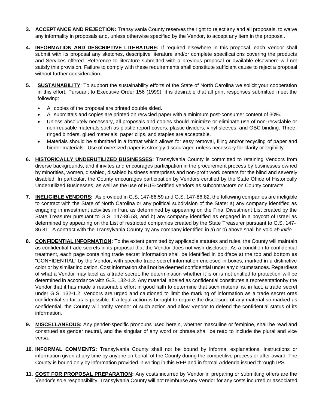- **3. ACCEPTANCE AND REJECTION:** Transylvania County reserves the right to reject any and all proposals, to waive any informality in proposals and, unless otherwise specified by the Vendor, to accept any item in the proposal.
- **4. INFORMATION AND DESCRIPTIVE LITERATURE:** If required elsewhere in this proposal, each Vendor shall submit with its proposal any sketches, descriptive literature and/or complete specifications covering the products and Services offered. Reference to literature submitted with a previous proposal or available elsewhere will not satisfy this provision. Failure to comply with these requirements shall constitute sufficient cause to reject a proposal without further consideration.
- **5. SUSTAINABILITY**: To support the sustainability efforts of the State of North Carolina we solicit your cooperation in this effort. Pursuant to Executive Order 156 (1999), it is desirable that all print responses submitted meet the following:
	- All copies of the proposal are printed double sided.
	- All submittals and copies are printed on recycled paper with a minimum post-consumer content of 30%.
	- Unless absolutely necessary, all proposals and copies should minimize or eliminate use of non-recyclable or non-reusable materials such as plastic report covers, plastic dividers, vinyl sleeves, and GBC binding. Threeringed binders, glued materials, paper clips, and staples are acceptable.
	- Materials should be submitted in a format which allows for easy removal, filing and/or recycling of paper and binder materials. Use of oversized paper is strongly discouraged unless necessary for clarity or legibility.
- **6. HISTORICALLY UNDERUTILIZED BUSINESSES:** Transylvania County is committed to retaining Vendors from diverse backgrounds, and it invites and encourages participation in the procurement process by businesses owned by minorities, women, disabled, disabled business enterprises and non-profit work centers for the blind and severely disabled. In particular, the County encourages participation by Vendors certified by the State Office of Historically Underutilized Businesses, as well as the use of HUB-certified vendors as subcontractors on County contracts.
- **7. INELIGIBLE VENDORS:** As provided in G.S. 147-86.59 and G.S. 147-86.82, the following companies are ineligible to contract with the State of North Carolina or any political subdivision of the State: a) any company identified as engaging in investment activities in Iran, as determined by appearing on the Final Divestment List created by the State Treasurer pursuant to G.S. 147-86.58, and b) any company identified as engaged in a boycott of Israel as determined by appearing on the List of restricted companies created by the State Treasurer pursuant to G.S. 147- 86.81. A contract with the Transylvania County by any company identified in a) or b) above shall be void *ab initio*.
- **8. CONFIDENTIAL INFORMATION:** To the extent permitted by applicable statutes and rules, the County will maintain as confidential trade secrets in its proposal that the Vendor does not wish disclosed. As a condition to confidential treatment, each page containing trade secret information shall be identified in boldface at the top and bottom as "CONFIDENTIAL" by the Vendor, with specific trade secret information enclosed in boxes, marked in a distinctive color or by similar indication. Cost information shall not be deemed confidential under any circumstances. Regardless of what a Vendor may label as a trade secret, the determination whether it is or is not entitled to protection will be determined in accordance with G.S. 132-1.2. Any material labeled as confidential constitutes a representationby the Vendor that it has made a reasonable effort in good faith to determine that such material is, in fact, a trade secret under G.S. 132-1.2. Vendors are urged and cautioned to limit the marking of information as a trade secret oras confidential so far as is possible. If a legal action is brought to require the disclosure of any material so marked as confidential, the County will notify Vendor of such action and allow Vendor to defend the confidential status of its information.
- **9. MISCELLANEOUS:** Any gender-specific pronouns used herein, whether masculine or feminine, shall be read and construed as gender neutral, and the singular of any word or phrase shall be read to include the plural and vice versa.
- **10. INFORMAL COMMENTS:** Transylvania County shall not be bound by informal explanations, instructions or information given at any time by anyone on behalf of the County during the competitive process or after award. The County is bound only by information provided in writing in this RFP and in formal Addenda issued through IPS.
- **11. COST FOR PROPOSAL PREPARATION:** Any costs incurred by Vendor in preparing or submitting offers are the Vendor's sole responsibility; Transylvania County will not reimburse any Vendor for any costs incurred or associated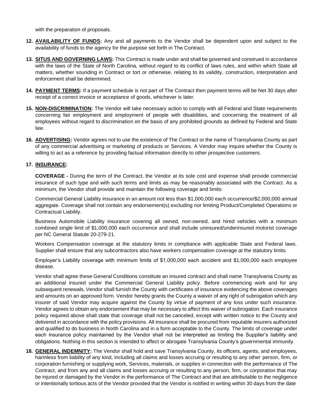with the preparation of proposals.

- **12. AVAILABILITY OF FUNDS:** Any and all payments to the Vendor shall be dependent upon and subject to the availability of funds to the agency for the purpose set forth in The Contract.
- **13. SITUS AND GOVERNING LAWS:** This Contract is made under and shall be governed and construed in accordance with the laws of the State of North Carolina, without regard to its conflict of laws rules, and within which State all matters, whether sounding in Contract or tort or otherwise, relating to its validity, construction, interpretation and enforcement shall be determined.
- **14. PAYMENT TERMS:** If a payment schedule is not part of The Contract then payment terms will be Net 30 days after receipt of a correct invoice or acceptance of goods, whichever is later.
- **15. NON-DISCRIMINATION:** The Vendor will take necessary action to comply with all Federal and State requirements concerning fair employment and employment of people with disabilities, and concerning the treatment of all employees without regard to discrimination on the basis of any prohibited grounds as defined by Federal and State law.
- **16. ADVERTISING:** Vendor agrees not to use the existence of The Contract or the name of Transylvania County as part of any commercial advertising or marketing of products or Services. A Vendor may inquire whether the County is willing to act as a reference by providing factual information directly to other prospective customers.

#### **17. INSURANCE:**

**COVERAGE -** During the term of the Contract, the Vendor at its sole cost and expense shall provide commercial insurance of such type and with such terms and limits as may be reasonably associated with the Contract. As a minimum, the Vendor shall provide and maintain the following coverage and limits:

Commercial General Liability insurance in an amount not less than \$1,000,000 each occurrence/\$2,000,000 annual aggregate. Coverage shall not contain any endorsement(s) excluding nor limiting Product/Completed Operations or Contractual Liability.

Business Automobile Liability insurance covering all owned, non-owned, and hired vehicles with a minimum combined single limit of \$1,000,000 each occurrence and shall include uninsured/underinsured motorist coverage per NC General Statute 20-279-21.

Workers Compensation coverage at the statutory limits in compliance with applicable State and Federal laws. Supplier shall ensure that any subcontractors also have workers compensation coverage at the statutory limits.

Employer's Liability coverage with minimum limits of \$1,000,000 each accident and \$1,000,000 each employee disease.

Vendor shall agree these General Conditions constitute an insured contract and shall name Transylvania County as an additional insured under the Commercial General Liability policy. Before commencing work and for any subsequent renewals, Vendor shall furnish the County with certificates of insurance evidencing the above coverages and amounts on an approved form. Vendor hereby grants the County a waiver of any right of subrogation which any insurer of said Vendor may acquire against the County by virtue of payment of any loss under such insurance. Vendor agrees to obtain any endorsement that may be necessary to affect this waiver of subrogation. Each insurance policy required above shall state that coverage shall not be canceled, except with written notice to the County and delivered in accordance with the policy provisions. All insurance shall be procured from reputable insurers authorized and qualified to do business in North Carolina and in a form acceptable to the County. The limits of coverage under each insurance policy maintained by the Vendor shall not be interpreted as limiting the Supplier's liability and obligations. Nothing in this section is intended to affect or abrogate Transylvania County's governmental immunity.

**18. GENERAL INDEMNITY:** The Vendor shall hold and save Transylvania County, its officers, agents, and employees, harmless from liability of any kind, including all claims and losses accruing or resulting to any other person, firm, or corporation furnishing or supplying work, Services, materials, or supplies in connection with the performance of The Contract, and from any and all claims and losses accruing or resulting to any person, firm, or corporation that may be injured or damaged by the Vendor in the performance of The Contract and that are attributable to the negligence or intentionally tortious acts of the Vendor provided that the Vendor is notified in writing within 30 days from the date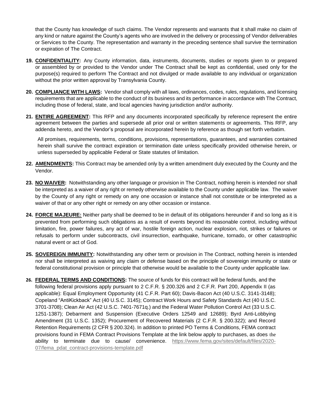that the County has knowledge of such claims. The Vendor represents and warrants that it shall make no claim of any kind or nature against the County's agents who are involved in the delivery or processing of Vendor deliverables or Services to the County. The representation and warranty in the preceding sentence shall survive the termination or expiration of The Contract.

- **19. CONFIDENTIALITY:** Any County information, data, instruments, documents, studies or reports given to or prepared or assembled by or provided to the Vendor under The Contract shall be kept as confidential, used only for the purpose(s) required to perform The Contract and not divulged or made available to any individual or organization without the prior written approval by Transylvania County.
- **20. COMPLIANCE WITH LAWS:** Vendor shall comply with all laws, ordinances, codes, rules, regulations, and licensing requirements that are applicable to the conduct of its business and its performance in accordance with The Contract, including those of federal, state, and local agencies having jurisdiction and/or authority.
- **21. ENTIRE AGREEMENT:** This RFP and any documents incorporated specifically by reference represent the entire agreement between the parties and supersede all prior oral or written statements or agreements. This RFP, any addenda hereto, and the Vendor's proposal are incorporated herein by reference as though set forth verbatim.

All promises, requirements, terms, conditions, provisions, representations, guarantees, and warranties contained herein shall survive the contract expiration or termination date unless specifically provided otherwise herein, or unless superseded by applicable Federal or State statutes of limitation.

- **22. AMENDMENTS:** This Contract may be amended only by a written amendment duly executed by the County and the Vendor.
- **23. NO WAIVER:** Notwithstanding any other language or provision in The Contract, nothing herein is intended nor shall be interpreted as a waiver of any right or remedy otherwise available to the County under applicable law. The waiver by the County of any right or remedy on any one occasion or instance shall not constitute or be interpreted as a waiver of that or any other right or remedy on any other occasion or instance.
- **24. FORCE MAJEURE:** Neither party shall be deemed to be in default of its obligations hereunder if and so long as it is prevented from performing such obligations as a result of events beyond its reasonable control, including without limitation, fire, power failures, any act of war, hostile foreign action, nuclear explosion, riot, strikes or failures or refusals to perform under subcontracts, civil insurrection, earthquake, hurricane, tornado, or other catastrophic natural event or act of God.
- **25. SOVEREIGN IMMUNITY:** Notwithstanding any other term or provision in The Contract, nothing herein is intended nor shall be interpreted as waiving any claim or defense based on the principle of sovereign immunity or state or federal constitutional provision or principle that otherwise would be available to the County under applicable law.
- **26. FEDERAL TERMS AND CONDITIONS:** The source of funds for this contract will be federal funds, and the following federal provisions apply pursuant to 2 C.F.R. § 200.326 and 2 C.F.R. Part 200, Appendix II (as applicable): Equal Employment Opportunity (41 C.F.R. Part 60); Davis-Bacon Act (40 U.S.C. 3141-3148); Copeland "AntiKickback" Act (40 U.S.C. 3145); Contract Work Hours and Safety Standards Act (40 U.S.C. 3701-3708); Clean Air Act (42 U.S.C. 7401-7671q.) and the Federal Water Pollution Control Act (33 U.S.C. 1251-1387); Debarment and Suspension (Executive Orders 12549 and 12689); Byrd Anti-Lobbying Amendment (31 U.S.C. 1352); Procurement of Recovered Materials (2 C.F.R. § 200.322); and Record Retention Requirements (2 CFR § 200.324). In addition to printed PO Terms & Conditions, FEMA contract provisions found in FEMA Contract Provisions Template at the link below apply to purchases, as does the ability to terminate due to cause/ convenience. [https://www.fema.gov/sites/default/files/2020-](https://www.fema.gov/sites/default/files/2020-07/fema_pdat_contract-provisions-template.pdf) [07/fema\\_pdat\\_contract-provisions-template.pdf](https://www.fema.gov/sites/default/files/2020-07/fema_pdat_contract-provisions-template.pdf)